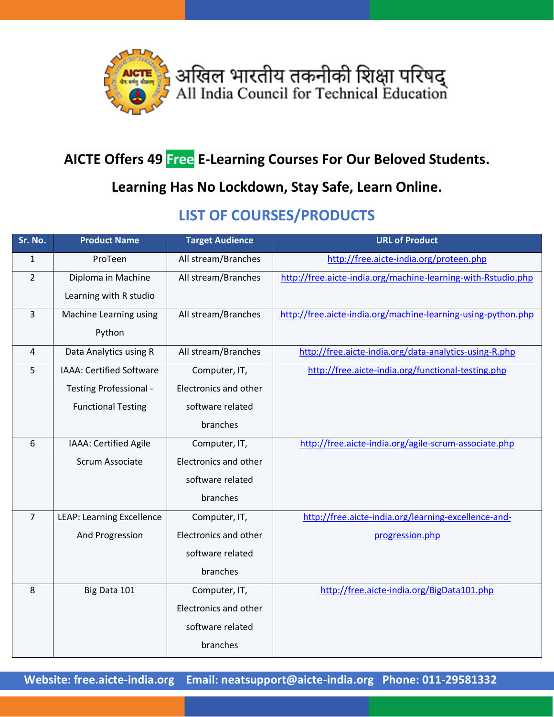

## **AICTE Offers 49 Free E-Learning Courses For Our Beloved Students.**

## **Learning Has No Lockdown, Stay Safe, Learn Online.**

## **LIST OF COURSES/PRODUCTS**

| Sr. No.        | <b>Product Name</b>              | <b>Target Audience</b> | <b>URL of Product</b>                                         |
|----------------|----------------------------------|------------------------|---------------------------------------------------------------|
| $\mathbf{1}$   | ProTeen                          | All stream/Branches    | http://free.aicte-india.org/proteen.php                       |
| $\overline{2}$ | Diploma in Machine               | All stream/Branches    | http://free.aicte-india.org/machine-learning-with-Rstudio.php |
|                | Learning with R studio           |                        |                                                               |
| 3              | Machine Learning using           | All stream/Branches    | http://free.aicte-india.org/machine-learning-using-python.php |
|                | Python                           |                        |                                                               |
| 4              | Data Analytics using R           | All stream/Branches    | http://free.aicte-india.org/data-analytics-using-R.php        |
| 5              | IAAA: Certified Software         | Computer, IT,          | http://free.aicte-india.org/functional-testing.php            |
|                | Testing Professional -           | Electronics and other  |                                                               |
|                | <b>Functional Testing</b>        | software related       |                                                               |
|                |                                  | branches               |                                                               |
| 6              | IAAA: Certified Agile            | Computer, IT,          | http://free.aicte-india.org/agile-scrum-associate.php         |
|                | Scrum Associate                  | Electronics and other  |                                                               |
|                |                                  | software related       |                                                               |
|                |                                  | branches               |                                                               |
| $\overline{7}$ | <b>LEAP: Learning Excellence</b> | Computer, IT,          | http://free.aicte-india.org/learning-excellence-and-          |
|                | And Progression                  | Electronics and other  | progression.php                                               |
|                |                                  | software related       |                                                               |
|                |                                  | branches               |                                                               |
| 8              | Big Data 101                     | Computer, IT,          | http://free.aicte-india.org/BigData101.php                    |
|                |                                  | Electronics and other  |                                                               |
|                |                                  | software related       |                                                               |
|                |                                  | branches               |                                                               |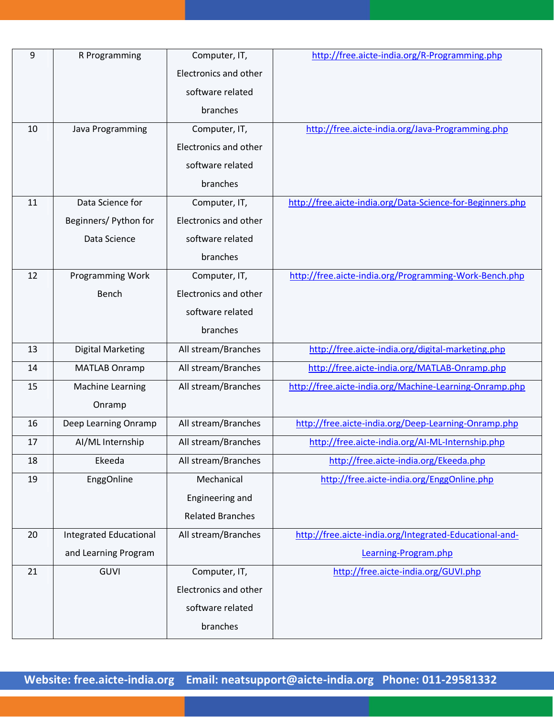| 9  | R Programming                 | Computer, IT,           | http://free.aicte-india.org/R-Programming.php              |
|----|-------------------------------|-------------------------|------------------------------------------------------------|
|    |                               | Electronics and other   |                                                            |
|    |                               | software related        |                                                            |
|    |                               | branches                |                                                            |
| 10 | Java Programming              | Computer, IT,           | http://free.aicte-india.org/Java-Programming.php           |
|    |                               | Electronics and other   |                                                            |
|    |                               | software related        |                                                            |
|    |                               | branches                |                                                            |
| 11 | Data Science for              | Computer, IT,           | http://free.aicte-india.org/Data-Science-for-Beginners.php |
|    | Beginners/ Python for         | Electronics and other   |                                                            |
|    | Data Science                  | software related        |                                                            |
|    |                               | branches                |                                                            |
| 12 | Programming Work              | Computer, IT,           | http://free.aicte-india.org/Programming-Work-Bench.php     |
|    | Bench                         | Electronics and other   |                                                            |
|    |                               | software related        |                                                            |
|    |                               | branches                |                                                            |
| 13 | <b>Digital Marketing</b>      | All stream/Branches     | http://free.aicte-india.org/digital-marketing.php          |
| 14 | <b>MATLAB Onramp</b>          | All stream/Branches     | http://free.aicte-india.org/MATLAB-Onramp.php              |
| 15 | <b>Machine Learning</b>       | All stream/Branches     | http://free.aicte-india.org/Machine-Learning-Onramp.php    |
|    | Onramp                        |                         |                                                            |
| 16 | Deep Learning Onramp          | All stream/Branches     | http://free.aicte-india.org/Deep-Learning-Onramp.php       |
| 17 | Al/ML Internship              | All stream/Branches     | http://free.aicte-india.org/AI-ML-Internship.php           |
| 18 | Ekeeda                        | All stream/Branches     | http://free.aicte-india.org/Ekeeda.php                     |
| 19 | EnggOnline                    | Mechanical              | http://free.aicte-india.org/EnggOnline.php                 |
|    |                               | Engineering and         |                                                            |
|    |                               | <b>Related Branches</b> |                                                            |
| 20 | <b>Integrated Educational</b> | All stream/Branches     | http://free.aicte-india.org/Integrated-Educational-and-    |
|    | and Learning Program          |                         | Learning-Program.php                                       |
| 21 | GUVI                          | Computer, IT,           | http://free.aicte-india.org/GUVI.php                       |
|    |                               | Electronics and other   |                                                            |
|    |                               | software related        |                                                            |
|    |                               | branches                |                                                            |
|    |                               |                         |                                                            |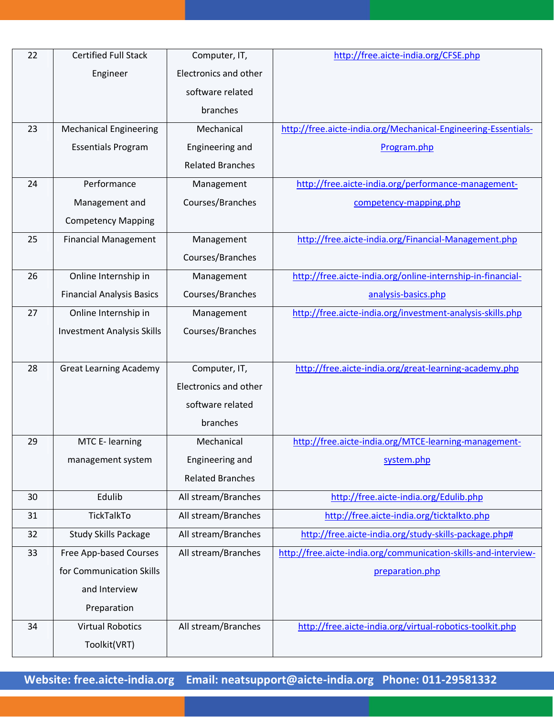| 22 | <b>Certified Full Stack</b>       | Computer, IT,           | http://free.aicte-india.org/CFSE.php                            |
|----|-----------------------------------|-------------------------|-----------------------------------------------------------------|
|    | Engineer                          | Electronics and other   |                                                                 |
|    |                                   | software related        |                                                                 |
|    |                                   | branches                |                                                                 |
| 23 | <b>Mechanical Engineering</b>     | Mechanical              | http://free.aicte-india.org/Mechanical-Engineering-Essentials-  |
|    | <b>Essentials Program</b>         | Engineering and         | Program.php                                                     |
|    |                                   | <b>Related Branches</b> |                                                                 |
| 24 | Performance                       | Management              | http://free.aicte-india.org/performance-management-             |
|    | Management and                    | Courses/Branches        | competency-mapping.php                                          |
|    | <b>Competency Mapping</b>         |                         |                                                                 |
| 25 | <b>Financial Management</b>       | Management              | http://free.aicte-india.org/Financial-Management.php            |
|    |                                   | Courses/Branches        |                                                                 |
| 26 | Online Internship in              | Management              | http://free.aicte-india.org/online-internship-in-financial-     |
|    | <b>Financial Analysis Basics</b>  | Courses/Branches        | analysis-basics.php                                             |
| 27 | Online Internship in              | Management              | http://free.aicte-india.org/investment-analysis-skills.php      |
|    | <b>Investment Analysis Skills</b> | Courses/Branches        |                                                                 |
|    |                                   |                         |                                                                 |
| 28 | <b>Great Learning Academy</b>     | Computer, IT,           | http://free.aicte-india.org/great-learning-academy.php          |
|    |                                   | Electronics and other   |                                                                 |
|    |                                   | software related        |                                                                 |
|    |                                   | branches                |                                                                 |
| 29 | MTC E- learning                   | Mechanical              | http://free.aicte-india.org/MTCE-learning-management-           |
|    | management system                 | Engineering and         | system.php                                                      |
|    |                                   | <b>Related Branches</b> |                                                                 |
| 30 | Edulib                            | All stream/Branches     | http://free.aicte-india.org/Edulib.php                          |
| 31 | TickTalkTo                        | All stream/Branches     | http://free.aicte-india.org/ticktalkto.php                      |
| 32 | <b>Study Skills Package</b>       | All stream/Branches     | http://free.aicte-india.org/study-skills-package.php#           |
| 33 | Free App-based Courses            | All stream/Branches     | http://free.aicte-india.org/communication-skills-and-interview- |
|    | for Communication Skills          |                         | preparation.php                                                 |
|    | and Interview                     |                         |                                                                 |
|    | Preparation                       |                         |                                                                 |
| 34 | <b>Virtual Robotics</b>           | All stream/Branches     | http://free.aicte-india.org/virtual-robotics-toolkit.php        |
|    | Toolkit(VRT)                      |                         |                                                                 |